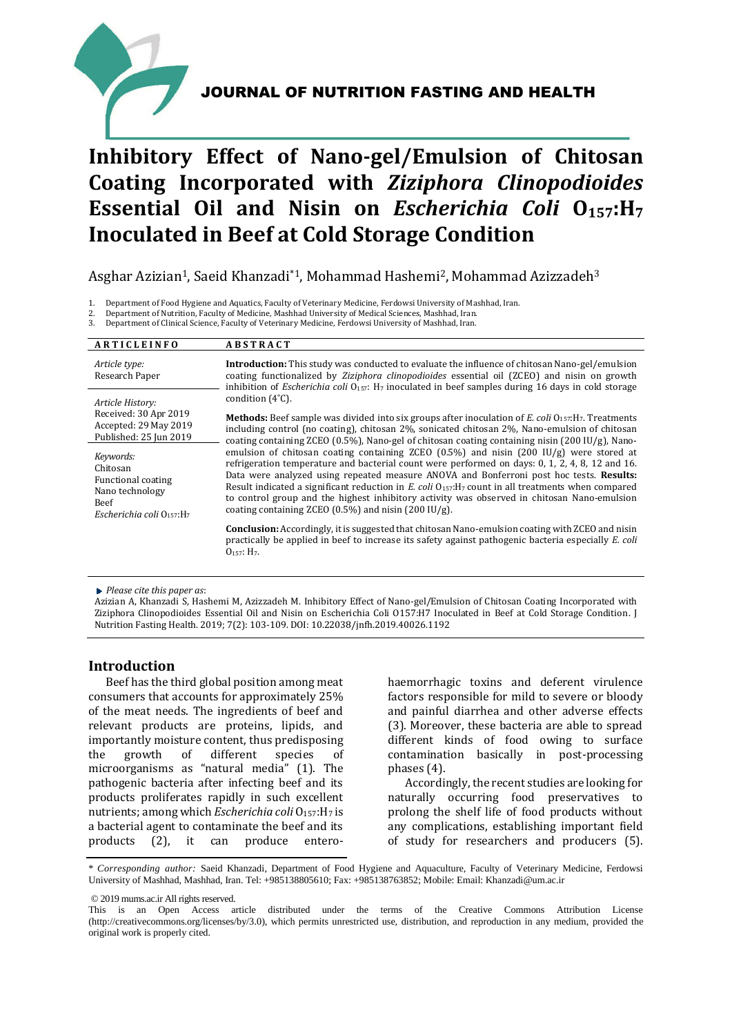# JOURNAL OF NUTRITION FASTING AND HEALTH



# JOURNAL OF NUTRITION FASTING AND HEALTH

# **Inhibitory Effect of Nano-gel/Emulsion of Chitosan Coating Incorporated with** *Ziziphora Clinopodioides*  **Essential Oil and Nisin on** *Escherichia Coli* **O157:H<sup>7</sup> Inoculated in Beef at Cold Storage Condition**

## Asghar Azizian<sup>1</sup>, Saeid Khanzadi<sup>\*1</sup>, Mohammad Hashemi<sup>2</sup>, Mohammad Azizzadeh<sup>3</sup>

1. Department of Food Hygiene and Aquatics, Faculty of Veterinary Medicine, Ferdowsi University of Mashhad, Iran.

2. Department of Nutrition, Faculty of Medicine, Mashhad University of Medical Sciences, Mashhad, Iran.

3. Department of Clinical Science, Faculty of Veterinary Medicine, Ferdowsi University of Mashhad, Iran.

| <b>ARTICLEINFO</b>                                                                                 | <b>ABSTRACT</b>                                                                                                                                                                                                                                                                                                                                                                                                                                                                                                                                                                                 |  |  |  |  |
|----------------------------------------------------------------------------------------------------|-------------------------------------------------------------------------------------------------------------------------------------------------------------------------------------------------------------------------------------------------------------------------------------------------------------------------------------------------------------------------------------------------------------------------------------------------------------------------------------------------------------------------------------------------------------------------------------------------|--|--|--|--|
| Article type:<br>Research Paper                                                                    | <b>Introduction:</b> This study was conducted to evaluate the influence of chitosan Nano-gel/emulsion<br>coating functionalized by Ziziphora clinopodioides essential oil (ZCEO) and nisin on growth<br>inhibition of <i>Escherichia coli</i> $O_{157}$ : H <sub>7</sub> inoculated in beef samples during 16 days in cold storage                                                                                                                                                                                                                                                              |  |  |  |  |
| Article History:                                                                                   | condition $(4^{\circ}C)$ .                                                                                                                                                                                                                                                                                                                                                                                                                                                                                                                                                                      |  |  |  |  |
| Received: 30 Apr 2019<br>Accepted: 29 May 2019<br>Published: 25 Jun 2019                           | <b>Methods:</b> Beef sample was divided into six groups after inoculation of E. coli $0_{157}$ : H <sub>7</sub> . Treatments<br>including control (no coating), chitosan 2%, sonicated chitosan 2%, Nano-emulsion of chitosan<br>coating containing ZCEO (0.5%), Nano-gel of chitosan coating containing nisin (200 IU/g), Nano-                                                                                                                                                                                                                                                                |  |  |  |  |
| Keywords:<br>Chitosan<br>Functional coating<br>Nano technology<br>Beef<br>Escherichia coli O157:H7 | emulsion of chitosan coating containing ZCEO $(0.5\%)$ and nisin $(200 \text{ IU/g})$ were stored at<br>refrigeration temperature and bacterial count were performed on days: 0, 1, 2, 4, 8, 12 and 16.<br>Data were analyzed using repeated measure ANOVA and Bonferroni post hoc tests. Results:<br>Result indicated a significant reduction in E. coli $0_{157}$ : H <sub>7</sub> count in all treatments when compared<br>to control group and the highest inhibitory activity was observed in chitosan Nano-emulsion<br>coating containing ZCEO $(0.5\%)$ and nisin $(200 \text{ IU/g})$ . |  |  |  |  |
|                                                                                                    | Conclusion: Accordingly, it is suggested that chitosan Nano-emulsion coating with ZCEO and nisin<br>practically be applied in beef to increase its safety against pathogenic bacteria especially E. coli<br>$O_{157}$ : H <sub>7</sub> .                                                                                                                                                                                                                                                                                                                                                        |  |  |  |  |

*Please cite this paper as*:

Azizian A, Khanzadi S, Hashemi M, Azizzadeh M. Inhibitory Effect of Nano-gel/Emulsion of Chitosan Coating Incorporated with Ziziphora Clinopodioides Essential Oil and Nisin on Escherichia Coli O157:H7 Inoculated in Beef at Cold Storage Condition. J Nutrition Fasting Health. 2019; 7(2): 103-109. DOI: 10.22038/jnfh.2019.40026.1192

#### **Introduction**

Beef has the third global position among meat consumers that accounts for approximately 25% of the meat needs. The ingredients of beef and relevant products are proteins, lipids, and importantly moisture content, thus predisposing the growth of different species of microorganisms as "natural media" (1). The pathogenic bacteria after infecting beef and its products proliferates rapidly in such excellent nutrients; among which *Escherichia coli* O<sub>157</sub>: H<sub>7</sub> is a bacterial agent to contaminate the beef and its products (2), it can produce enterohaemorrhagic toxins and deferent virulence factors responsible for mild to severe or bloody and painful diarrhea and other adverse effects (3). Moreover, these bacteria are able to spread different kinds of food owing to surface contamination basically in post-processing phases (4).

Accordingly, the recent studies are looking for naturally occurring food preservatives to prolong the shelf life of food products without any complications, establishing important field of study for researchers and producers (5).

\* *Corresponding author:* Saeid Khanzadi, Department of Food Hygiene and Aquaculture, Faculty of Veterinary Medicine, Ferdowsi University of Mashhad, Mashhad, Iran. Tel: +985138805610; Fax: +985138763852; Mobile: Email: Khanzadi@um.ac.ir

© 2019 mums.ac.ir All rights reserved.

This is an Open Access article distributed under the terms of the Creative Commons Attribution License (http://creativecommons.org/licenses/by/3.0), which permits unrestricted use, distribution, and reproduction in any medium, provided the original work is properly cited.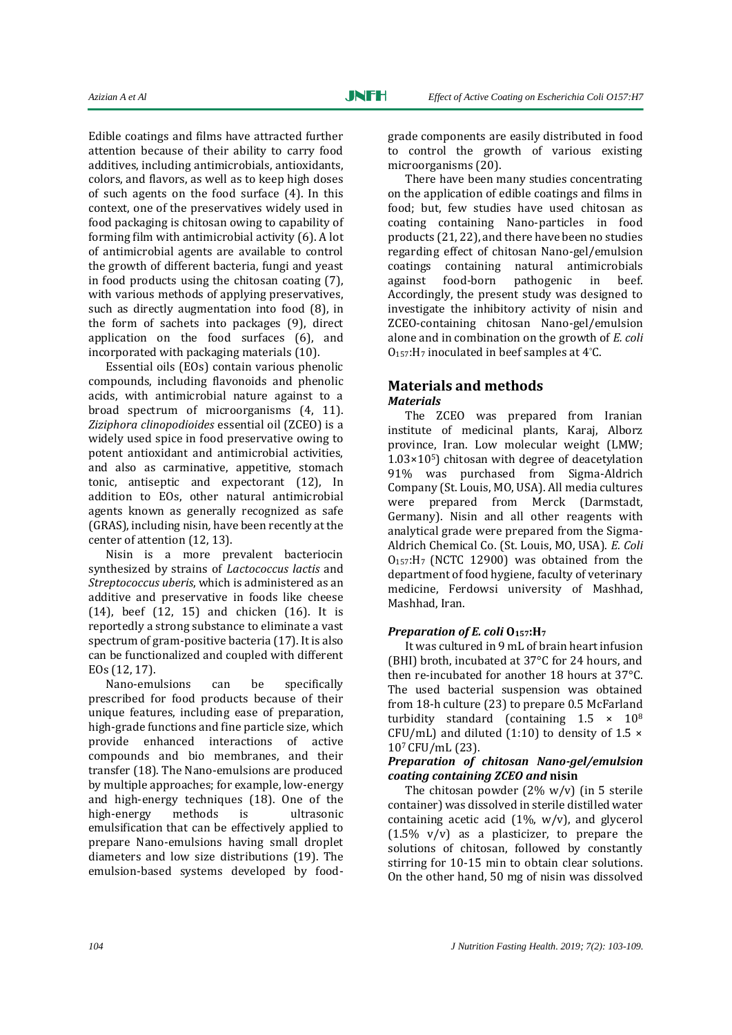Edible coatings and films have attracted further attention because of their ability to carry food additives, including antimicrobials, antioxidants, colors, and flavors, as well as to keep high doses of such agents on the food surface (4). In this context, one of the preservatives widely used in food packaging is chitosan owing to capability of forming film with antimicrobial activity (6). A lot of antimicrobial agents are available to control the growth of different bacteria, fungi and yeast in food products using the chitosan coating (7), with various methods of applying preservatives, such as directly augmentation into food (8), in the form of sachets into packages (9), direct application on the food surfaces (6), and incorporated with packaging materials (10).

Essential oils (EOs) contain various phenolic compounds, including flavonoids and phenolic acids, with antimicrobial nature against to a broad spectrum of microorganisms (4, 11). *Ziziphora clinopodioides* essential oil (ZCEO) is a widely used spice in food preservative owing to potent antioxidant and antimicrobial activities, and also as carminative, appetitive, stomach tonic, antiseptic and expectorant (12), In addition to EOs, other natural antimicrobial agents known as generally recognized as safe (GRAS), including nisin*,* have been recently at the center of attention (12, 13).

Nisin is a more prevalent bacteriocin synthesized by strains of *Lactococcus lactis* and *Streptococcus uberis*, which is administered as an additive and preservative in foods like cheese (14), beef (12, 15) and chicken (16). It is reportedly a strong substance to eliminate a vast spectrum of gram-positive bacteria (17). It is also can be functionalized and coupled with different EOs (12, 17).

Nano-emulsions can be specifically prescribed for food products because of their unique features, including ease of preparation, high-grade functions and fine particle size, which provide enhanced interactions of active compounds and bio membranes, and their transfer (18). The Nano-emulsions are produced by multiple approaches; for example, low-energy and high-energy techniques (18). One of the high-energy methods is ultrasonic emulsification that can be effectively applied to prepare Nano-emulsions having small droplet diameters and low size distributions (19). The emulsion-based systems developed by foodgrade components are easily distributed in food to control the growth of various existing microorganisms (20).

There have been many studies concentrating on the application of edible coatings and films in food; but, few studies have used chitosan as coating containing Nano-particles in food products (21, 22), and there have been no studies regarding effect of chitosan Nano-gel/emulsion coatings containing natural antimicrobials against food-born pathogenic in beef. Accordingly, the present study was designed to investigate the inhibitory activity of nisin and ZCEO-containing chitosan Nano-gel/emulsion alone and in combination on the growth of *E. coli*  O157:H<sup>7</sup> inoculated in beef samples at 4°C.

#### **Materials and methods**  *Materials*

The ZCEO was prepared from Iranian institute of medicinal plants, Karaj, Alborz province, Iran. Low molecular weight (LMW;  $1.03\times10^{5}$  chitosan with degree of deacetylation 91% was purchased from Sigma-Aldrich Company (St. Louis, MO, USA). All media cultures were prepared from Merck (Darmstadt, Germany). Nisin and all other reagents with analytical grade were prepared from the Sigma-Aldrich Chemical Co. (St. Louis, MO, USA). *E. Coli*  O157:H7 (NCTC 12900) was obtained from the department of food hygiene, faculty of veterinary medicine, Ferdowsi university of Mashhad, Mashhad, Iran.

### *Preparation of E. coli* **O157:H<sup>7</sup>**

It was cultured in 9 mL of brain heart infusion (BHI) broth, incubated at 37°C for 24 hours, and then re-incubated for another 18 hours at 37°C. The used bacterial suspension was obtained from 18-h culture (23) to prepare 0.5 McFarland turbidity standard (containing  $1.5 \times 10^8$ CFU/mL) and diluted (1:10) to density of 1.5  $\times$ 107 CFU/mL (23).

#### *Preparation of chitosan Nano-gel/emulsion coating containing ZCEO and* **nisin**

The chitosan powder  $(2\% \text{ w/v})$  (in 5 sterile container) was dissolved in sterile distilled water containing acetic acid  $(1\%, w/v)$ , and glycerol  $(1.5\% \text{ v/v})$  as a plasticizer, to prepare the solutions of chitosan, followed by constantly stirring for 10-15 min to obtain clear solutions. On the other hand, 50 mg of nisin was dissolved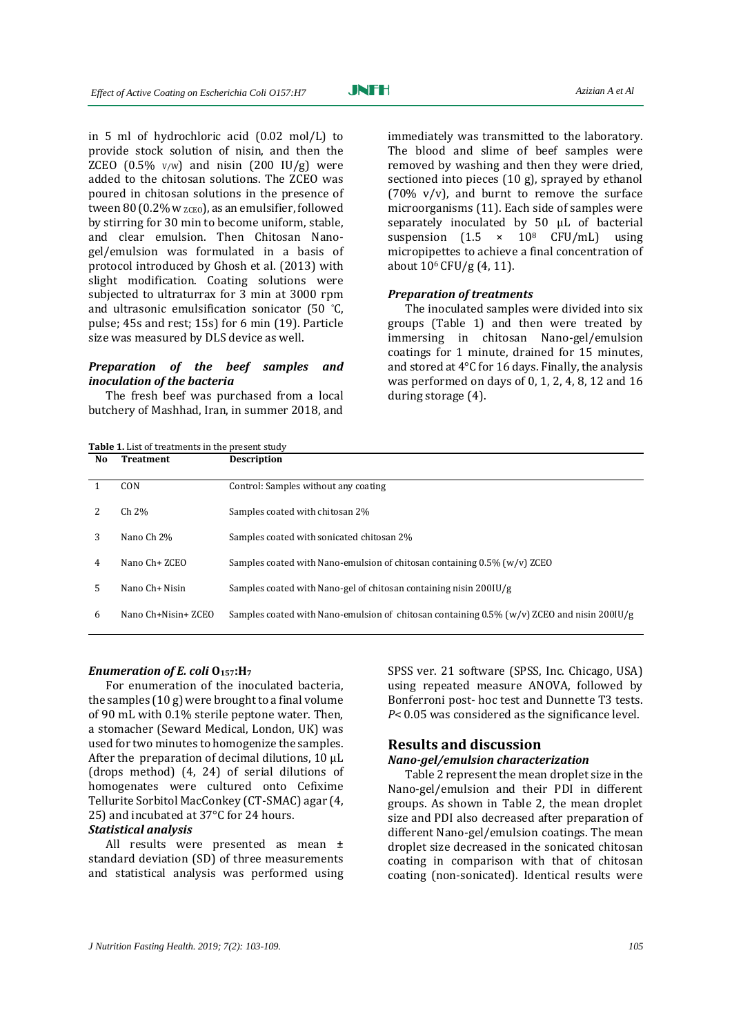in 5 ml of hydrochloric acid (0.02 mol/L) to provide stock solution of nisin, and then the ZCEO  $(0.5\%$  v/w) and nisin  $(200 \text{ IU/g})$  were added to the chitosan solutions. The ZCEO was poured in chitosan solutions in the presence of tween 80 (0.2% w  $zce$ o), as an emulsifier, followed by stirring for 30 min to become uniform, stable, and clear emulsion. Then Chitosan Nanogel/emulsion was formulated in a basis of protocol introduced by Ghosh et al. (2013) with slight modification. Coating solutions were subjected to ultraturrax for 3 min at 3000 rpm and ultrasonic emulsification sonicator (50 °C, pulse; 45s and rest; 15s) for 6 min (19). Particle size was measured by DLS device as well.

#### *Preparation of the beef samples and inoculation of the bacteria*

The fresh beef was purchased from a local butchery of Mashhad, Iran, in summer 2018, and

**Table 1.** List of treatments in the present study

immediately was transmitted to the laboratory. The blood and slime of beef samples were removed by washing and then they were dried, sectioned into pieces (10 g), sprayed by ethanol (70%  $v/v$ ), and burnt to remove the surface microorganisms (11). Each side of samples were separately inoculated by 50 μL of bacterial suspension  $(1.5 \times 10^8 \text{ CFU/mL})$  using micropipettes to achieve a final concentration of about 106 CFU/g (4, 11).

#### *Preparation of treatments*

The inoculated samples were divided into six groups (Table 1) and then were treated by immersing in chitosan Nano-gel/emulsion coatings for 1 minute, drained for 15 minutes, and stored at 4°C for 16 days. Finally, the analysis was performed on days of 0, 1, 2, 4, 8, 12 and 16 during storage (4).

| No | <b>Treatment</b>    | <b>Description</b>                                                                            |
|----|---------------------|-----------------------------------------------------------------------------------------------|
|    | <b>CON</b>          | Control: Samples without any coating                                                          |
|    | Ch 2%               | Samples coated with chitosan 2%                                                               |
| 3  | Nano Ch 2%          | Samples coated with sonicated chitosan 2%                                                     |
| 4  | Nano Ch+ ZCEO       | Samples coated with Nano-emulsion of chitosan containing $0.5\%$ (w/v) ZCEO                   |
| 5  | Nano Ch+ Nisin      | Samples coated with Nano-gel of chitosan containing nisin 200IU/g                             |
| 6  | Nano Ch+Nisin+ ZCEO | Samples coated with Nano-emulsion of chitosan containing $0.5\%$ (w/v) ZCEO and nisin 200IU/g |

#### *Enumeration of E. coli* **O157:H<sup>7</sup>**

For enumeration of the inoculated bacteria, the samples (10 g) were brought to a final volume of 90 mL with 0.1% sterile peptone water. Then, a stomacher (Seward Medical, London, UK) was used for two minutes to homogenize the samples. After the preparation of decimal dilutions, 10 μL (drops method) (4, 24) of serial dilutions of homogenates were cultured onto Cefixime Tellurite Sorbitol MacConkey (CT-SMAC) agar (4, 25) and incubated at 37°C for 24 hours.

#### *Statistical analysis*

All results were presented as mean ± standard deviation (SD) of three measurements and statistical analysis was performed using SPSS ver. 21 software (SPSS, Inc. Chicago, USA) using repeated measure ANOVA, followed by Bonferroni post- hoc test and Dunnette T3 tests. *P*< 0.05 was considered as the significance level.

#### **Results and discussion** *Nano-gel/emulsion characterization*

Table 2 represent the mean droplet size in the Nano-gel/emulsion and their PDI in different groups. As shown in Table 2, the mean droplet size and PDI also decreased after preparation of different Nano-gel/emulsion coatings. The mean droplet size decreased in the sonicated chitosan coating in comparison with that of chitosan coating (non-sonicated). Identical results were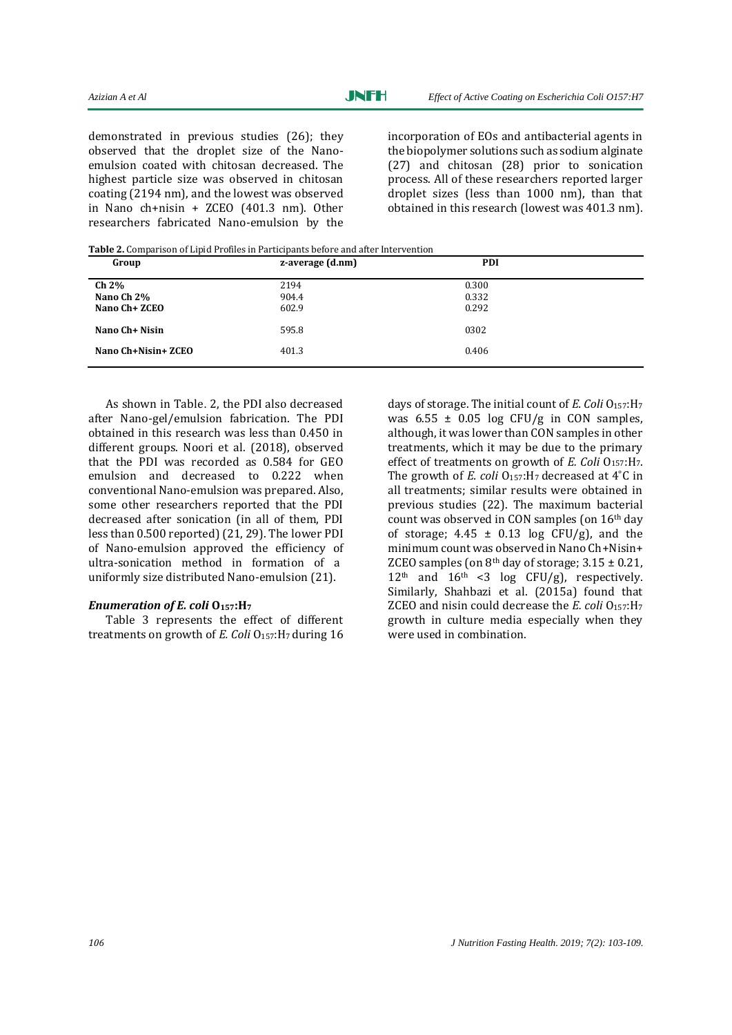demonstrated in previous studies (26); they observed that the droplet size of the Nanoemulsion coated with chitosan decreased. The highest particle size was observed in chitosan coating (2194 nm), and the lowest was observed in Nano ch+nisin + ZCEO (401.3 nm). Other researchers fabricated Nano-emulsion by the incorporation of EOs and antibacterial agents in the biopolymer solutions such as sodium alginate (27) and chitosan (28) prior to sonication process. All of these researchers reported larger droplet sizes (less than 1000 nm), than that obtained in this research (lowest was 401.3 nm).

**Table 2.** Comparison of Lipid Profiles in Participants before and after Intervention

| Group               | z-average (d.nm) | <b>PDI</b> |  |
|---------------------|------------------|------------|--|
| <b>Ch 2%</b>        | 2194             | 0.300      |  |
| Nano Ch 2%          | 904.4            | 0.332      |  |
| Nano Ch+ ZCEO       | 602.9            | 0.292      |  |
| Nano Ch+ Nisin      | 595.8            | 0302       |  |
| Nano Ch+Nisin+ ZCEO | 401.3            | 0.406      |  |
|                     |                  |            |  |

As shown in Table. 2, the PDI also decreased after Nano-gel/emulsion fabrication. The PDI obtained in this research was less than 0.450 in different groups. Noori et al*.* (2018), observed that the PDI was recorded as 0.584 for GEO emulsion and decreased to 0.222 when conventional Nano-emulsion was prepared. Also, some other researchers reported that the PDI decreased after sonication (in all of them, PDI less than 0.500 reported) (21, 29). The lower PDI of Nano-emulsion approved the efficiency of ultra-sonication method in formation of a uniformly size distributed Nano-emulsion (21).

#### *Enumeration of E. coli* **O157:H<sup>7</sup>**

Table 3 represents the effect of different treatments on growth of *E. Coli* O<sub>157</sub>: H<sub>7</sub> during 16

days of storage. The initial count of *E. Coli* O157:H<sup>7</sup> was  $6.55 \pm 0.05$  log CFU/g in CON samples, although, it was lower than CON samples in other treatments, which it may be due to the primary effect of treatments on growth of *E. Coli* O<sub>157</sub>:H<sub>7</sub>. The growth of *E. coli* O<sub>157</sub>: H<sub>7</sub> decreased at 4°C in all treatments; similar results were obtained in previous studies (22). The maximum bacterial count was observed in CON samples (on 16th day of storage;  $4.45 \pm 0.13$  log CFU/g), and the minimum count was observed in Nano Ch+Nisin+ ZCEO samples (on  $8<sup>th</sup>$  day of storage;  $3.15 \pm 0.21$ ,  $12<sup>th</sup>$  and  $16<sup>th</sup>$  <3 log CFU/g), respectively. Similarly, Shahbazi et al. (2015a) found that ZCEO and nisin could decrease the *E. coli* O157:H<sup>7</sup> growth in culture media especially when they were used in combination.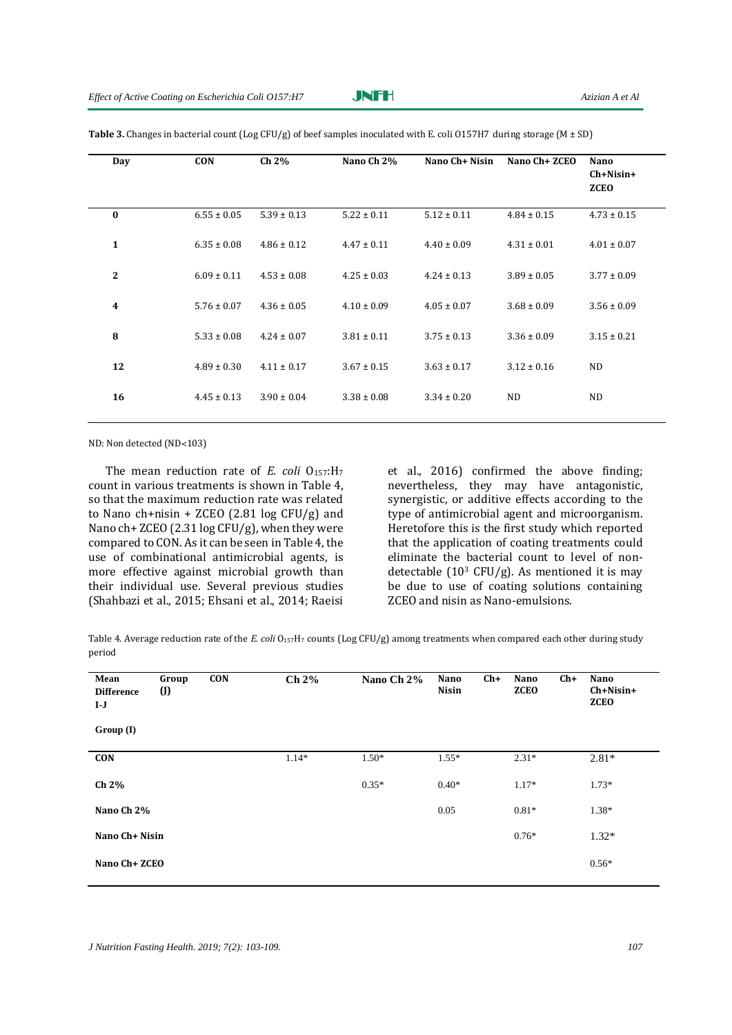| Day          | <b>CON</b>      | Ch 2%           | Nano Ch 2%      | Nano Ch+ Nisin  | Nano Ch+ ZCEO   | Nano<br>$Ch+Nisin+$<br><b>ZCEO</b> |
|--------------|-----------------|-----------------|-----------------|-----------------|-----------------|------------------------------------|
| $\bf{0}$     | $6.55 \pm 0.05$ | $5.39 \pm 0.13$ | $5.22 \pm 0.11$ | $5.12 \pm 0.11$ | $4.84 \pm 0.15$ | $4.73 \pm 0.15$                    |
| 1            | $6.35 \pm 0.08$ | $4.86 \pm 0.12$ | $4.47 \pm 0.11$ | $4.40 \pm 0.09$ | $4.31 \pm 0.01$ | $4.01 \pm 0.07$                    |
| $\mathbf{2}$ | $6.09 \pm 0.11$ | $4.53 \pm 0.08$ | $4.25 \pm 0.03$ | $4.24 \pm 0.13$ | $3.89 \pm 0.05$ | $3.77 \pm 0.09$                    |
| 4            | $5.76 \pm 0.07$ | $4.36 \pm 0.05$ | $4.10 \pm 0.09$ | $4.05 \pm 0.07$ | $3.68 \pm 0.09$ | $3.56 \pm 0.09$                    |
| 8            | $5.33 \pm 0.08$ | $4.24 \pm 0.07$ | $3.81 \pm 0.11$ | $3.75 \pm 0.13$ | $3.36 \pm 0.09$ | $3.15 \pm 0.21$                    |
| 12           | $4.89 \pm 0.30$ | $4.11 \pm 0.17$ | $3.67 \pm 0.15$ | $3.63 \pm 0.17$ | $3.12 \pm 0.16$ | <b>ND</b>                          |
| 16           | $4.45 \pm 0.13$ | $3.90 \pm 0.04$ | $3.38 \pm 0.08$ | $3.34 \pm 0.20$ | N <sub>D</sub>  | ND                                 |

Table 3. Changes in bacterial count (Log CFU/g) of beef samples inoculated with E. coli 0157H7 during storage (M  $\pm$  SD)

ND: Non detected (ND˂103)

The mean reduction rate of *E. coli* O<sub>157</sub>:H<sub>7</sub> count in various treatments is shown in Table 4, so that the maximum reduction rate was related to Nano ch+nisin + ZCEO  $(2.81 \log CFU/g)$  and Nano ch+ ZCEO (2.31 log CFU/g), when they were compared to CON. As it can be seen in Table 4, the use of combinational antimicrobial agents, is more effective against microbial growth than their individual use. Several previous studies (Shahbazi et al., 2015; Ehsani et al., 2014; Raeisi

et al., 2016) confirmed the above finding; nevertheless, they may have antagonistic, synergistic, or additive effects according to the type of antimicrobial agent and microorganism. Heretofore this is the first study which reported that the application of coating treatments could eliminate the bacterial count to level of nondetectable  $(10^3 \text{ CFU/g})$ . As mentioned it is may be due to use of coating solutions containing ZCEO and nisin as Nano-emulsions.

Table 4. Average reduction rate of the *E. coli* O<sub>157</sub>H<sub>7</sub> counts (Log CFU/g) among treatments when compared each other during study period

| Mean<br><b>Difference</b><br>$I-J$<br>Group(I) | Group<br>$\left($ J | <b>CON</b> | $Ch 2\%$ | Nano Ch 2% | $Ch+$<br>Nano<br>Nisin | $Ch+$<br>Nano<br><b>ZCEO</b> | Nano<br>$Ch+Nisin+$<br><b>ZCEO</b> |
|------------------------------------------------|---------------------|------------|----------|------------|------------------------|------------------------------|------------------------------------|
|                                                |                     |            |          |            |                        |                              |                                    |
| <b>CON</b>                                     |                     |            | $1.14*$  | $1.50*$    | $1.55*$                | $2.31*$                      | $2.81*$                            |
| Ch 2%                                          |                     |            |          | $0.35*$    | $0.40*$                | $1.17*$                      | $1.73*$                            |
| Nano Ch 2%                                     |                     |            |          |            | 0.05                   | $0.81*$                      | $1.38*$                            |
| Nano Ch+ Nisin                                 |                     |            |          |            |                        | $0.76*$                      | $1.32*$                            |
| Nano Ch+ ZCEO                                  |                     |            |          |            |                        |                              | $0.56*$                            |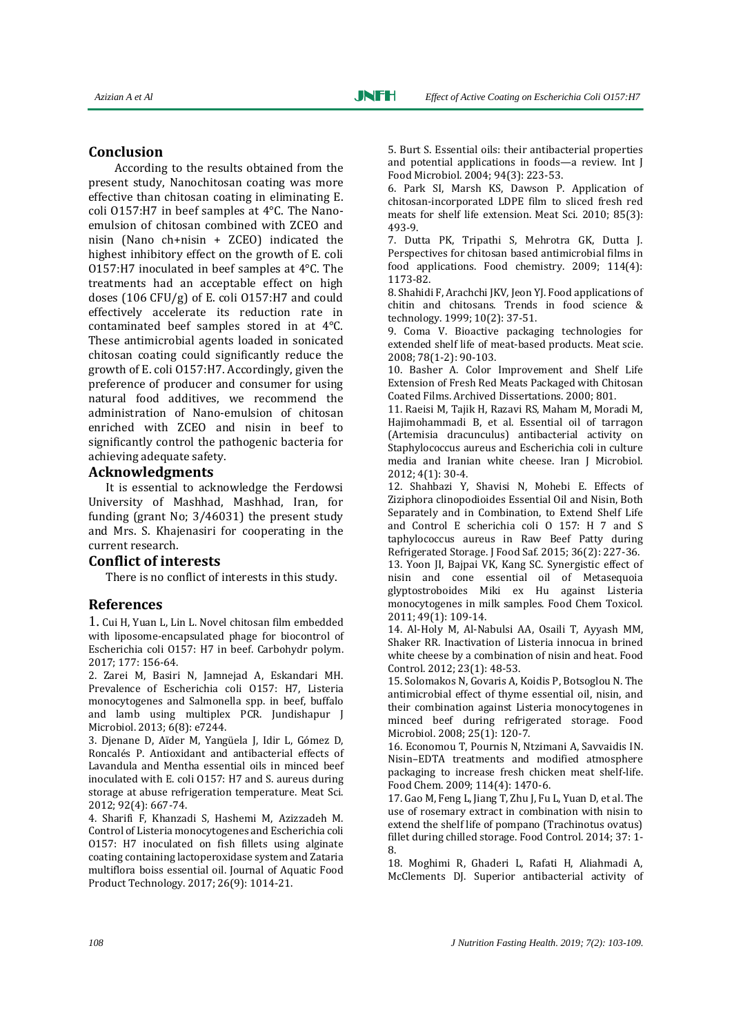According to the results obtained from the present study, Nanochitosan coating was more effective than chitosan coating in eliminating E. coli O157:H7 in beef samples at 4°C. The Nanoemulsion of chitosan combined with ZCEO and nisin (Nano ch+nisin + ZCEO) indicated the highest inhibitory effect on the growth of E. coli O157:H7 inoculated in beef samples at 4°C. The treatments had an acceptable effect on high doses (106 CFU/g) of E. coli O157:H7 and could effectively accelerate its reduction rate in contaminated beef samples stored in at 4°C. These antimicrobial agents loaded in sonicated chitosan coating could significantly reduce the growth of E. coli O157:H7. Accordingly, given the preference of producer and consumer for using natural food additives, we recommend the administration of Nano-emulsion of chitosan enriched with ZCEO and nisin in beef to significantly control the pathogenic bacteria for achieving adequate safety.

#### **Acknowledgments**

It is essential to acknowledge the Ferdowsi University of Mashhad, Mashhad, Iran, for funding (grant No; 3/46031) the present study and Mrs. S. Khajenasiri for cooperating in the current research.

#### **Conflict of interests**

There is no conflict of interests in this study.

#### **References**

1. Cui H, Yuan L, Lin L. Novel chitosan film embedded with liposome-encapsulated phage for biocontrol of Escherichia coli O157: H7 in beef. Carbohydr polym. 2017; 177: 156-64.

2. Zarei M, Basiri N, Jamnejad A, Eskandari MH. Prevalence of Escherichia coli O157: H7, Listeria monocytogenes and Salmonella spp. in beef, buffalo and lamb using multiplex PCR. Jundishapur J Microbiol. 2013; 6(8): e7244.

3. Djenane D, Aïder M, Yangüela J, Idir L, Gómez D, Roncalés P. Antioxidant and antibacterial effects of Lavandula and Mentha essential oils in minced beef inoculated with E. coli O157: H7 and S. aureus during storage at abuse refrigeration temperature. Meat Sci. 2012; 92(4): 667-74.

4. Sharifi F, Khanzadi S, Hashemi M, Azizzadeh M. Control of Listeria monocytogenes and Escherichia coli O157: H7 inoculated on fish fillets using alginate coating containing lactoperoxidase system and Zataria multiflora boiss essential oil. Journal of Aquatic Food Product Technology. 2017; 26(9): 1014-21.

5. Burt S. Essential oils: their antibacterial properties and potential applications in foods—a review. Int J Food Microbiol. 2004; 94(3): 223-53.

6. Park SI, Marsh KS, Dawson P. Application of chitosan-incorporated LDPE film to sliced fresh red meats for shelf life extension. Meat Sci. 2010; 85(3): 493-9.

7. Dutta PK, Tripathi S, Mehrotra GK, Dutta J. Perspectives for chitosan based antimicrobial films in food applications. Food chemistry. 2009; 114(4): 1173-82.

8. Shahidi F, Arachchi JKV, Jeon YJ. Food applications of chitin and chitosans. Trends in food science & technology. 1999; 10(2): 37-51.

9. Coma V. Bioactive packaging technologies for extended shelf life of meat-based products. Meat scie. 2008; 78(1-2): 90-103.

10. Basher A. Color Improvement and Shelf Life Extension of Fresh Red Meats Packaged with Chitosan Coated Films. Archived Dissertations. 2000; 801.

11. Raeisi M, Tajik H, Razavi RS, Maham M, Moradi M, Hajimohammadi B, et al. Essential oil of tarragon (Artemisia dracunculus) antibacterial activity on Staphylococcus aureus and Escherichia coli in culture media and Iranian white cheese. Iran J Microbiol. 2012; 4(1): 30-4.

12. Shahbazi Y, Shavisi N, Mohebi E. Effects of Ziziphora clinopodioides Essential Oil and Nisin, Both Separately and in Combination, to Extend Shelf Life and Control E scherichia coli O 157: H 7 and S taphylococcus aureus in Raw Beef Patty during Refrigerated Storage. J Food Saf. 2015; 36(2): 227-36.

13. Yoon JI, Bajpai VK, Kang SC. Synergistic effect of nisin and cone essential oil of Metasequoia glyptostroboides Miki ex Hu against Listeria monocytogenes in milk samples. Food Chem Toxicol. 2011; 49(1): 109-14.

14. Al-Holy M, Al-Nabulsi AA, Osaili T, Ayyash MM, Shaker RR. Inactivation of Listeria innocua in brined white cheese by a combination of nisin and heat. Food Control. 2012; 23(1): 48-53.

15. Solomakos N, Govaris A, Koidis P, Botsoglou N. The antimicrobial effect of thyme essential oil, nisin, and their combination against Listeria monocytogenes in minced beef during refrigerated storage. Food Microbiol. 2008; 25(1): 120-7.

16. Economou T, Pournis N, Ntzimani A, Savvaidis IN. Nisin–EDTA treatments and modified atmosphere packaging to increase fresh chicken meat shelf-life. Food Chem. 2009; 114(4): 1470-6.

17. Gao M, Feng L, Jiang T, Zhu J, Fu L, Yuan D, et al. The use of rosemary extract in combination with nisin to extend the shelf life of pompano (Trachinotus ovatus) fillet during chilled storage. Food Control. 2014; 37: 1- 8.

18. Moghimi R, Ghaderi L, Rafati H, Aliahmadi A, McClements DJ. Superior antibacterial activity of